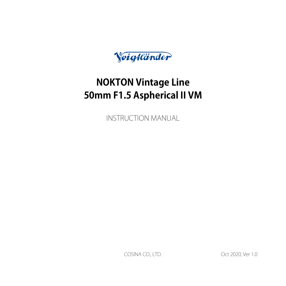Voigtländer

# **NOKTON Vintage Line 50mm F1.5 Aspherical II VM**

**INSTRUCTION MANUAL** 

COSINA CO., LTD. 6.0 Ver 1.0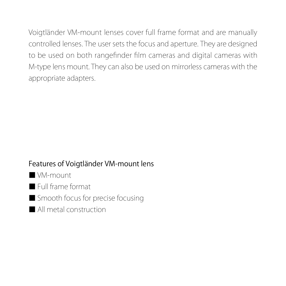Voigtländer VM-mount lenses cover full frame format and are manually controlled lenses. The user sets the focus and aperture. They are designed to be used on both rangefinder film cameras and digital cameras with M-type lens mount. They can also be used on mirrorless cameras with the appropriate adapters.

### Features of Voigtländer VM-mount lens

WM-mount-

■ Full frame format

■ Smooth focus for precise focusing

■ All metal construction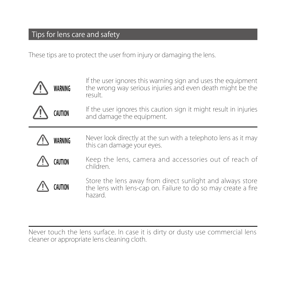## Tips for lens care and safety

l,

These tips are to protect the user from injury or damaging the lens.

| WARNING | If the user ignores this warning sign and uses the equipment<br>the wrong way serious injuries and even death might be the<br>result. |
|---------|---------------------------------------------------------------------------------------------------------------------------------------|
| CAUTION | If the user ignores this caution sign it might result in injuries<br>and damage the equipment.                                        |
| WARNING | Never look directly at the sun with a telephoto lens as it may<br>this can damage your eves.                                          |
| CAUTION | Keep the lens, camera and accessories out of reach of<br>children                                                                     |
|         | Store the lens away from direct sunlight and always store<br>the lens with lens-cap on. Failure to do so may create a fire<br>hazard. |

Never touch the lens surface. In case it is dirty or dusty use commercial lens<br>cleaner or appropriate lens cleaning cloth.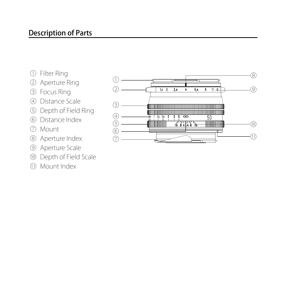- 
- 
- 
- 
- **Description of Parts**<br>
① Filter Ring<br>
② Deptture Ring<br>
③ Distance Scale<br>
③ Depth of Field Ring<br>
◎ Mount<br>
◎ Moetture Scale<br>
◎ Aperture Scale<br>
◎ Depth of Field Scale<br>
① Mount Index
- 
- 
- 
- 
- 
- 

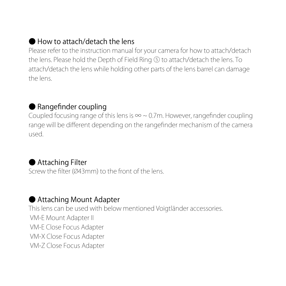#### How to attach/detach the lens

Please refer to the instruction manual for your camera for how to attach/detach the lens. Please hold the Depth of Field Ring (5) to attach/detach the lens. To attach/detach the lens while holding other parts of the lens barrel can damage the lens

#### ● Rangefinder coupling

Coupled focusing range of this lens is  $\infty$  ~ 0.7 m. However, range finder coupling range will be different depending on the rangefinder mechanism of the camera .used

#### ● Attaching Filter

Screw the filter (Ø43mm) to the front of the lens.

#### ● Attaching Mount Adapter

This lens can be used with below mentioned Voigtländer accessories. VM-E Mount Adapter II VM-F Close Focus Adapter VM-X Close Focus Adapter VM-Z Close Focus Adapter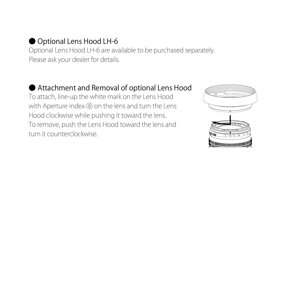#### ● Optional Lens Hood LH-6

Optional Lens Hood LH-6 are available to be purchased separately. Please ask your dealer for details.

#### ● Attachment and Removal of optional Lens Hood

To attach, line-up the white mark on the Lens Hood with Aperture Index ® on the lens and turn the Lens Hood clockwise while pushing it toward the lens. To remove, push the Lens Hood toward the lens and turn it counterclockwise